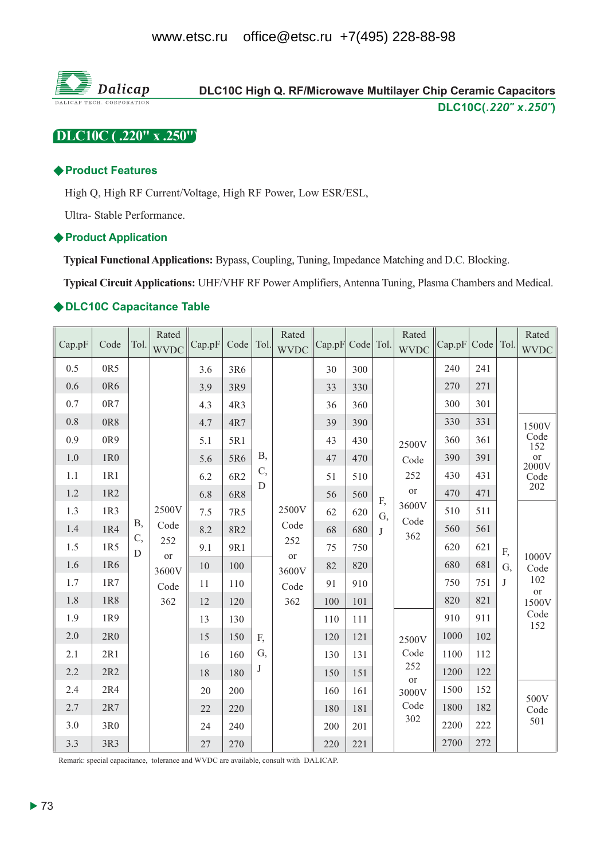

# DLC10C (.220" x .250")

#### **◆ Product Features**

High Q, High RF Current/Voltage, High RF Power, Low ESR/ESL,

Ultra-Stable Performance.

#### ♦ Product Application

Typical Functional Applications: Bypass, Coupling, Tuning, Impedance Matching and D.C. Blocking.

Typical Circuit Applications: UHF/VHF RF Power Amplifiers, Antenna Tuning, Plasma Chambers and Medical.

### ◆DLC10C Capacitance Table

| Cap.pF  | Code | Tol.             | Rated<br><b>WVDC</b> | Cap.pF | Code   Tol. |            | Rated<br><b>WVDC</b> | Cap.pF Code Tol. |     |    | Rated<br><b>WVDC</b>      | Cap.pF | Code | Tol.         | Rated<br><b>WVDC</b>             |
|---------|------|------------------|----------------------|--------|-------------|------------|----------------------|------------------|-----|----|---------------------------|--------|------|--------------|----------------------------------|
| 0.5     | 0R5  |                  |                      | 3.6    | 3R6         |            |                      | 30               | 300 |    |                           | 240    | 241  |              |                                  |
| 0.6     | 0R6  |                  |                      | 3.9    | 3R9         |            |                      | 33               | 330 |    |                           | 270    | 271  |              |                                  |
| 0.7     | 0R7  |                  |                      | 4.3    | 4R3         |            |                      | 36               | 360 |    |                           | 300    | 301  |              |                                  |
| $0.8\,$ | 0R8  |                  |                      | 4.7    | 4R7         |            |                      | 39               | 390 |    |                           | 330    | 331  |              | 1500V                            |
| 0.9     | 0R9  |                  |                      | 5.1    | 5R1         |            |                      | 43               | 430 |    | 2500V                     | 360    | 361  |              | $\frac{\text{Code}}{\text{152}}$ |
| 1.0     | 1R0  |                  |                      | 5.6    | 5R6         | <b>B</b> , |                      | 47               | 470 |    | Code                      | 390    | 391  |              | $rac{or}{2000V}$                 |
| 1.1     | 1R1  |                  |                      | 6.2    | 6R2         | C,         |                      | 51               | 510 |    | 252                       | 430    | 431  |              | Code                             |
| 1.2     | 1R2  |                  |                      | 6.8    | 6R8         | D          |                      | 56               | 560 | F, | <b>or</b>                 | 470    | 471  |              | 202                              |
| 1.3     | 1R3  |                  | 2500V                | 7.5    | 7R5         |            | 2500V                | 62               | 620 | G, | 3600V                     | 510    | 511  |              |                                  |
| 1.4     | 1R4  | <b>B</b> ,<br>C, | Code                 | 8.2    | 8R2         |            | Code                 | 68               | 680 | J  | Code<br>362               | 560    | 561  |              |                                  |
| 1.5     | 1R5  | D                | 252<br>or            | 9.1    | 9R1         |            | 252<br>or            | 75               | 750 |    |                           | 620    | 621  | F,           | 1000V                            |
| 1.6     | 1R6  |                  | 3600V                | 10     | 100         |            | 3600V                | 82               | 820 |    |                           | 680    | 681  | G,           | Code                             |
| 1.7     | 1R7  |                  | Code                 | 11     | 110         |            | Code                 | 91               | 910 |    |                           | 750    | 751  | $\mathbf{J}$ | 102<br><b>or</b>                 |
| 1.8     | 1R8  |                  | 362                  | 12     | 120         |            | 362                  | 100              | 101 |    |                           | 820    | 821  |              | 1500V                            |
| 1.9     | 1R9  |                  |                      | 13     | 130         |            |                      | 110              | 111 |    |                           | 910    | 911  |              | Code<br>152                      |
| 2.0     | 2R0  |                  |                      | 15     | 150         | F,         |                      | 120              | 121 |    | 2500V                     | 1000   | 102  |              |                                  |
| 2.1     | 2R1  |                  |                      | 16     | 160         | G,         |                      | 130              | 131 |    | Code                      | 1100   | 112  |              |                                  |
| 2.2     | 2R2  |                  |                      | 18     | 180         | J          |                      | 150              | 151 |    | 252<br>$\hbox{or}\hbox{}$ | 1200   | 122  |              |                                  |
| 2.4     | 2R4  |                  |                      | 20     | 200         |            |                      | 160              | 161 |    | 3000V                     | 1500   | 152  |              | 500V                             |
| 2.7     | 2R7  |                  |                      | 22     | 220         |            |                      | 180              | 181 |    | Code                      | 1800   | 182  |              | Code                             |
| 3.0     | 3R0  |                  |                      | 24     | 240         |            |                      | 200              | 201 |    | 302                       | 2200   | 222  |              | 501                              |
| 3.3     | 3R3  |                  |                      | 27     | 270         |            |                      | 220              | 221 |    |                           | 2700   | 272  |              |                                  |

Remark: special capacitance, tolerance and WVDC are available, consult with DALICAP.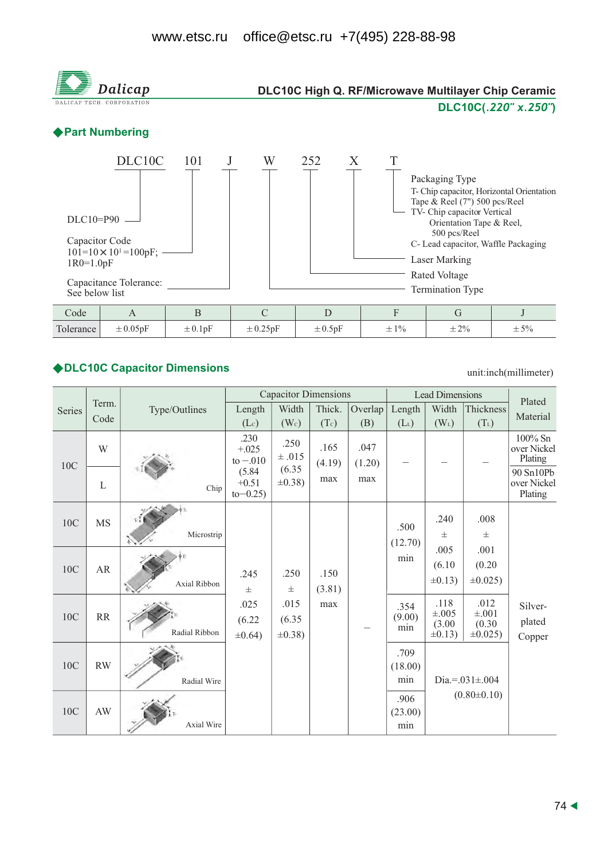

# ◆DLC10C Capacitor Dimensions

unit:inch(millimeter)

|        |               |               |                                  | <b>Capacitor Dimensions</b> |                |             |                        | <b>Lead Dimensions</b> |                         | Plated                              |
|--------|---------------|---------------|----------------------------------|-----------------------------|----------------|-------------|------------------------|------------------------|-------------------------|-------------------------------------|
| Series | Term.<br>Code | Type/Outlines | Length                           | Width                       | Thick.         | Overlap     | Length                 | Width                  | Thickness               | Material                            |
|        |               |               | $(L_c)$<br>.230                  | (W <sub>c</sub> )<br>.250   | (Tc)<br>.165   | (B)<br>.047 | $(L_L)$                | $(W_L)$                | $(T_L)$                 | 100% Sn                             |
| 10C    | W             |               | $+.025$<br>$to -.010$            | ±.015                       | (4.19)         | (1.20)      |                        |                        |                         | over Nickel<br>Plating              |
|        | $\mathbf L$   | Chip          | (5.84)<br>$+0.51$<br>$to -0.25)$ | (6.35)<br>$\pm 0.38$ )      | max            | max         |                        |                        |                         | 90 Sn10Pb<br>over Nickel<br>Plating |
| 10C    | <b>MS</b>     | τJ            |                                  |                             |                |             |                        | .240                   | .008                    |                                     |
|        |               | Microstrip    |                                  |                             |                |             | .500<br>(12.70)<br>min | $\pm$                  | $\pm$                   |                                     |
| 10C    | ${\sf AR}$    | Axial Ribbon  |                                  |                             | .150<br>(3.81) |             |                        | .005<br>(6.10)         | .001<br>(0.20)          |                                     |
|        |               |               | .245<br>$\pm$                    | .250<br>$\pm$               |                |             |                        | $\pm 0.13$ )           | $\pm 0.025$ )           |                                     |
| 10C    | <b>RR</b>     |               | .025                             | .015                        | max            |             | .354<br>(9.00)         | .118<br>$\pm .005$     | .012<br>$\pm .001$      | Silver-                             |
|        |               | Radial Ribbon | (6.22)<br>$\pm 0.64$ )           | (6.35)<br>$\pm 0.38$ )      |                |             | min                    | (3.00)<br>$\pm 0.13$ ) | (0.30)<br>$\pm 0.025$ ) | plated<br>Copper                    |
|        | RW            |               |                                  |                             |                |             | .709                   |                        |                         |                                     |
| 10C    |               | Radial Wire   |                                  |                             |                |             | (18.00)<br>min         | Dia.=. $031 \pm .004$  |                         |                                     |
|        |               |               |                                  |                             |                |             | .906                   |                        | $(0.80 \pm 0.10)$       |                                     |
| 10C    | AW            | Axial Wire    |                                  |                             |                |             | (23.00)<br>min         |                        |                         |                                     |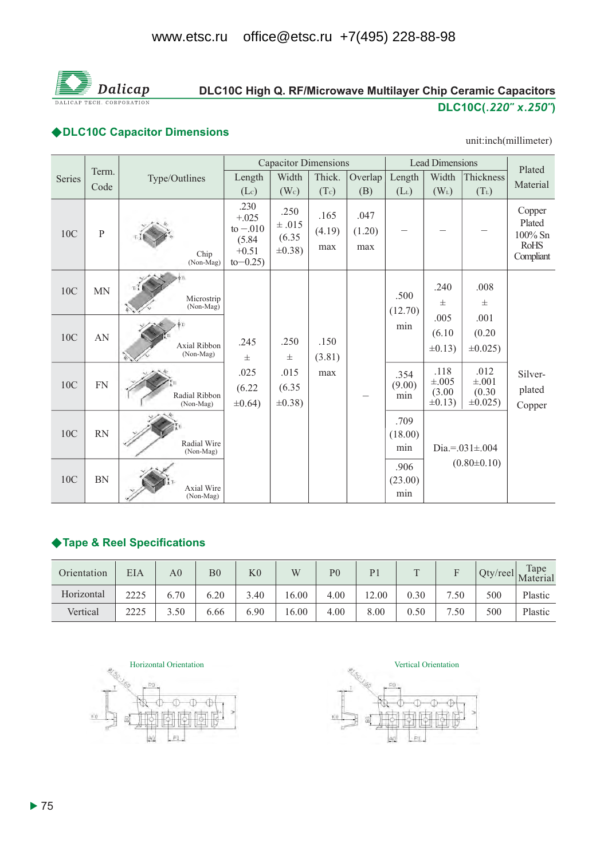

# DLC10C High Q. RF/Microwave Multilayer Chip Ceramic Capacitors DLC10C(.220" x.250")

### ◆DLC10C Capacitor Dimensions

#### unit:inch(millimeter)

|               |                |                                |                                                                  | <b>Capacitor Dimensions</b>                  |                       |                       |                        | <b>Lead Dimensions</b>                     |                                             | Plated                                                     |
|---------------|----------------|--------------------------------|------------------------------------------------------------------|----------------------------------------------|-----------------------|-----------------------|------------------------|--------------------------------------------|---------------------------------------------|------------------------------------------------------------|
| <b>Series</b> | Term.<br>Code  | Type/Outlines                  | Length                                                           | Width                                        | Thick.                | Overlap               | Length                 | Width                                      | Thickness                                   | Material                                                   |
|               |                |                                | (Lc)                                                             | (W <sub>c</sub> )                            | (Tc)                  | (B)                   | $(L_L)$                | $(W_L)$                                    | $(T_L)$                                     |                                                            |
| 10C           | $\overline{P}$ | Chip<br>(Non-Mag)              | .230<br>$+.025$<br>to $-.010$<br>(5.84)<br>$+0.51$<br>$to -0.25$ | .250<br>$\pm .015$<br>(6.35)<br>$\pm 0.38$ ) | .165<br>(4.19)<br>max | .047<br>(1.20)<br>max |                        |                                            |                                             | Copper<br>Plated<br>$100\%$ Sn<br><b>RoHS</b><br>Compliant |
| 10C           | <b>MN</b>      | Microstrip<br>(Non-Mag)        |                                                                  |                                              |                       |                       | .500<br>(12.70)        | .240<br>$_{\pm}$                           | .008<br>$\pm$                               |                                                            |
| 10C           | AN             | Axial Ribbon<br>(Non-Mag)      | .245<br>$\pm$                                                    | .250<br>$\pm$                                | .150<br>(3.81)        |                       | min                    | .005<br>(6.10)<br>$\pm 0.13$               | .001<br>(0.20)<br>$\pm 0.025$ )             |                                                            |
| 10C           | <b>FN</b>      | Radial Ribbon<br>(Non-Mag)     | .025<br>(6.22)<br>$\pm 0.64$ )                                   | .015<br>(6.35)<br>$\pm 0.38$ )               | max                   |                       | .354<br>(9.00)<br>min  | .118<br>$\pm .005$<br>(3.00)<br>$\pm 0.13$ | .012<br>$\pm .001$<br>(0.30)<br>$\pm 0.025$ | Silver-<br>plated<br>Copper                                |
| 10C           | <b>RN</b>      | Radial Wire<br>(Non-Mag)       |                                                                  |                                              |                       |                       | .709<br>(18.00)<br>min |                                            | Dia.=. $031 \pm .004$                       |                                                            |
| 10C           | <b>BN</b>      | <b>Axial Wire</b><br>(Non-Mag) |                                                                  |                                              |                       |                       | .906<br>(23.00)<br>min |                                            | $(0.80 \pm 0.10)$                           |                                                            |

## ◆Tape & Reel Specifications

| Orientation | EIA  | A <sub>0</sub> | B <sub>0</sub> | K <sub>0</sub> | W     | P <sub>0</sub> | $\mathbf{p}$ | $\mathbf{T}$ |      |     | Tape<br>$\Gamma$   Qty/reel   Materia |
|-------------|------|----------------|----------------|----------------|-------|----------------|--------------|--------------|------|-----|---------------------------------------|
| Horizontal  | つつつら | 6.70           | 6.20           | 3.40           | 16.00 | 4.00           | 12.00        | 0.30         | 7.50 | 500 | Plastic                               |
| Vertical    | 2225 | 3.50           | 6.66           | 6.90           | 16.00 | 4.00           | 8.00         | 0.50         | 7.50 | 500 | Plastic                               |



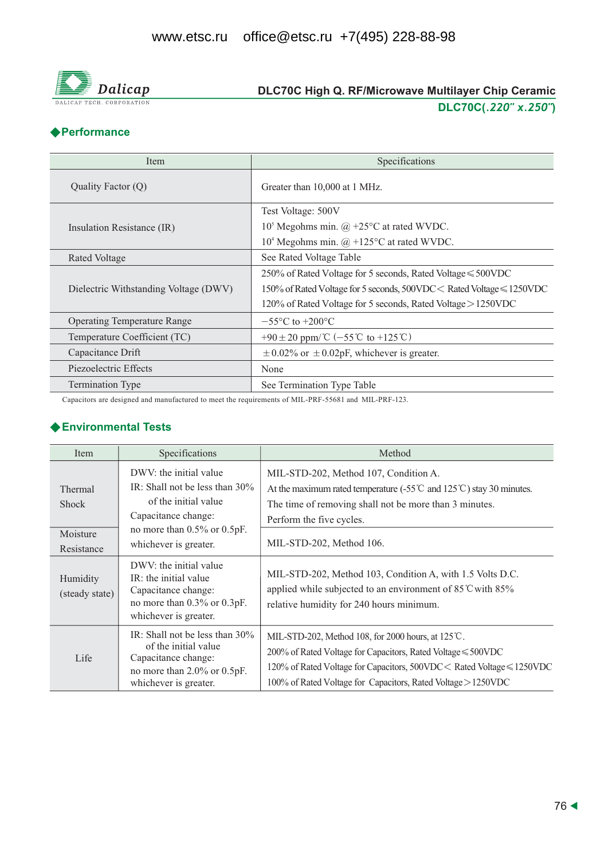

# DLC70C High Q. RF/Microwave Multilayer Chip Ceramic DLC70C(.220" x.250")

### ◆Performance

| Item                                  | Specifications                                                        |
|---------------------------------------|-----------------------------------------------------------------------|
| Quality Factor (Q)                    | Greater than 10,000 at 1 MHz.                                         |
|                                       | Test Voltage: 500V                                                    |
| Insulation Resistance (IR)            | $105$ Megohms min. @ +25 $\rm{^{\circ}C}$ at rated WVDC.              |
|                                       | $104$ Megohms min. $\omega$ +125°C at rated WVDC.                     |
| Rated Voltage                         | See Rated Voltage Table                                               |
|                                       | 250% of Rated Voltage for 5 seconds, Rated Voltage $\leq 500$ VDC     |
| Dielectric Withstanding Voltage (DWV) | 150% of Rated Voltage for 5 seconds, 500VDC < Rated Voltage ≤ 1250VDC |
|                                       | 120% of Rated Voltage for 5 seconds, Rated Voltage > 1250VDC          |
| <b>Operating Temperature Range</b>    | $-55^{\circ}$ C to $+200^{\circ}$ C                                   |
| Temperature Coefficient (TC)          | +90 ± 20 ppm/ $^{\circ}$ C (-55 °C to +125 °C)                        |
| Capacitance Drift                     | $\pm$ 0.02% or $\pm$ 0.02pF, whichever is greater.                    |
| Piezoelectric Effects                 | None                                                                  |
| <b>Termination Type</b>               | See Termination Type Table                                            |

Capacitors are designed and manufactured to meet the requirements of MIL-PRF-55681 and MIL-PRF-123.

#### ◆ Environmental Tests

| Item                                                     | Specifications                                                                                                                                                           | Method                                                                                                                                                                                                                                                                           |
|----------------------------------------------------------|--------------------------------------------------------------------------------------------------------------------------------------------------------------------------|----------------------------------------------------------------------------------------------------------------------------------------------------------------------------------------------------------------------------------------------------------------------------------|
| <b>Thermal</b><br><b>Shock</b><br>Moisture<br>Resistance | DWV: the initial value<br>IR: Shall not be less than $30\%$<br>of the initial value<br>Capacitance change:<br>no more than $0.5\%$ or $0.5pF$ .<br>whichever is greater. | MIL-STD-202, Method 107, Condition A.<br>At the maximum rated temperature (-55 $\degree$ and 125 $\degree$ ) stay 30 minutes.<br>The time of removing shall not be more than 3 minutes.<br>Perform the five cycles.<br>MIL-STD-202, Method 106.                                  |
| Humidity<br>(steady state)                               | DWV: the initial value<br>IR: the initial value<br>Capacitance change:<br>no more than 0.3% or 0.3pF.<br>whichever is greater.                                           | MIL-STD-202, Method 103, Condition A, with 1.5 Volts D.C.<br>applied while subjected to an environment of 85°C with 85%<br>relative humidity for 240 hours minimum.                                                                                                              |
| Life                                                     | IR: Shall not be less than $30\%$<br>of the initial value<br>Capacitance change:<br>no more than $2.0\%$ or $0.5pF$ .<br>whichever is greater.                           | MIL-STD-202, Method 108, for 2000 hours, at $125^{\circ}$ C.<br>$200\%$ of Rated Voltage for Capacitors, Rated Voltage $\leq 500$ VDC<br>120% of Rated Voltage for Capacitors, 500VDC < Rated Voltage ≤ 1250VDC<br>100% of Rated Voltage for Capacitors, Rated Voltage > 1250VDC |